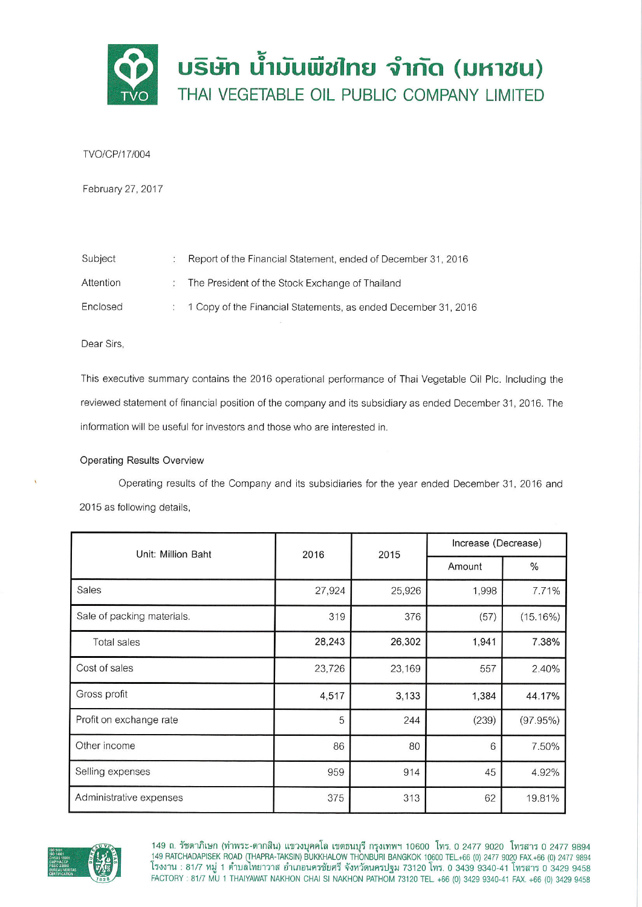

TVO/CP/17/004

February 27, 2017

| Subject   | Report of the Financial Statement, ended of December 31, 2016    |
|-----------|------------------------------------------------------------------|
| Attention | The President of the Stock Exchange of Thailand                  |
| Enclosed  | : 1 Copy of the Financial Statements, as ended December 31, 2016 |

Dear Sirs,

This executive summary contains the 2016 operational performance of Thai Vegetable Oil Plc. Including the reviewed statement of financial position of the company and its subsidiary as ended December 31, 2016. The information will be useful for investors and those who are interested in.

## **Operating Results Overview**

Operating results of the Company and its subsidiaries for the year ended December 31, 2016 and 2015 as following details,

| Unit: Million Baht         | 2016   | 2015   | Increase (Decrease) |          |
|----------------------------|--------|--------|---------------------|----------|
|                            |        |        | Amount              | $\%$     |
| <b>Sales</b>               | 27,924 | 25,926 | 1,998               | 7.71%    |
| Sale of packing materials. | 319    | 376    | (57)                | (15.16%) |
| Total sales                | 28,243 | 26,302 | 1,941               | 7.38%    |
| Cost of sales              | 23,726 | 23,169 | 557                 | 2.40%    |
| Gross profit               | 4,517  | 3,133  | 1,384               | 44.17%   |
| Profit on exchange rate    | 5      | 244    | (239)               | (97.95%) |
| Other income               | 86     | 80     | 6                   | 7.50%    |
| Selling expenses           | 959    | 914    | 45                  | 4.92%    |
| Administrative expenses    | 375    | 313    | 62                  | 19.81%   |



149 ถ. รัชดาภิเษก (ท่าพระ-ตากสิน) แขวงบุคคโล เขตธนบุรี กรุงเทพฯ 10600 โทร. 0 2477 9020 โทรสาร 0 2477 9894<br>149 RATCHADAPISEK ROAD (THAPRA-TAKSIN) BUKKHALOW THONBURI BANGKOK 10600 TEL.+66 (0) 2477 9020 FAX.+66 (0) 2477<br>โรงง FACTORY: 81/7 MU 1 THAIYAWAT NAKHON CHAI SI NAKHON PATHOM 73120 TEL. +66 (0) 3429 9340-41 FAX. +66 (0) 3429 9458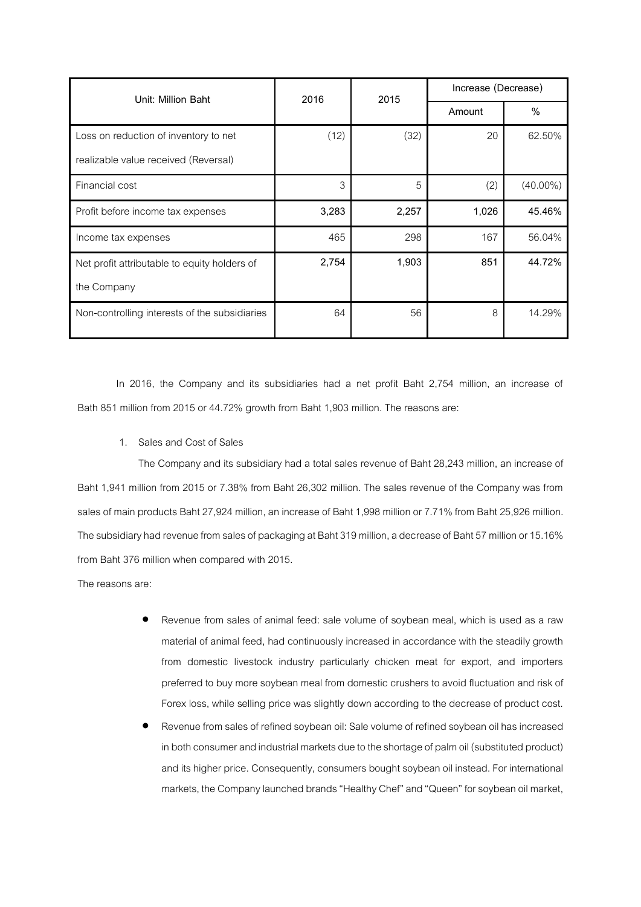| Unit: Million Baht                            | 2016  | 2015  | Increase (Decrease) |             |
|-----------------------------------------------|-------|-------|---------------------|-------------|
|                                               |       |       | Amount              | $\%$        |
| Loss on reduction of inventory to net         | (12)  | (32)  | 20                  | 62.50%      |
| realizable value received (Reversal)          |       |       |                     |             |
| Financial cost                                | 3     | 5     | (2)                 | $(40.00\%)$ |
| Profit before income tax expenses             | 3,283 | 2,257 | 1,026               | 45.46%      |
| Income tax expenses                           | 465   | 298   | 167                 | 56.04%      |
| Net profit attributable to equity holders of  | 2,754 | 1,903 | 851                 | 44.72%      |
| the Company                                   |       |       |                     |             |
| Non-controlling interests of the subsidiaries | 64    | 56    | 8                   | 14.29%      |

In 2016, the Company and its subsidiaries had a net profit Baht 2,754 million, an increase of Bath 851 million from 2015 or 44.72% growth from Baht 1,903 million. The reasons are:

1. Sales and Cost of Sales

The Company and its subsidiary had a total sales revenue of Baht 28,243 million, an increase of Baht 1,941 million from 2015 or 7.38% from Baht 26,302 million. The sales revenue of the Company was from sales of main products Baht 27,924 million, an increase of Baht 1,998 million or 7.71% from Baht 25,926 million. The subsidiary had revenue from sales of packaging at Baht 319 million, a decrease of Baht 57 million or 15.16% from Baht 376 million when compared with 2015.

The reasons are:

- Revenue from sales of animal feed: sale volume of soybean meal, which is used as a raw material of animal feed, had continuously increased in accordance with the steadily growth from domestic livestock industry particularly chicken meat for export, and importers preferred to buy more soybean meal from domestic crushers to avoid fluctuation and risk of Forex loss, while selling price was slightly down according to the decrease of product cost.
- Revenue from sales of refined soybean oil: Sale volume of refined soybean oil has increased in both consumer and industrial markets due to the shortage of palm oil (substituted product) and its higher price. Consequently, consumers bought soybean oil instead. For international markets, the Company launched brands "Healthy Chef" and "Queen" for soybean oil market,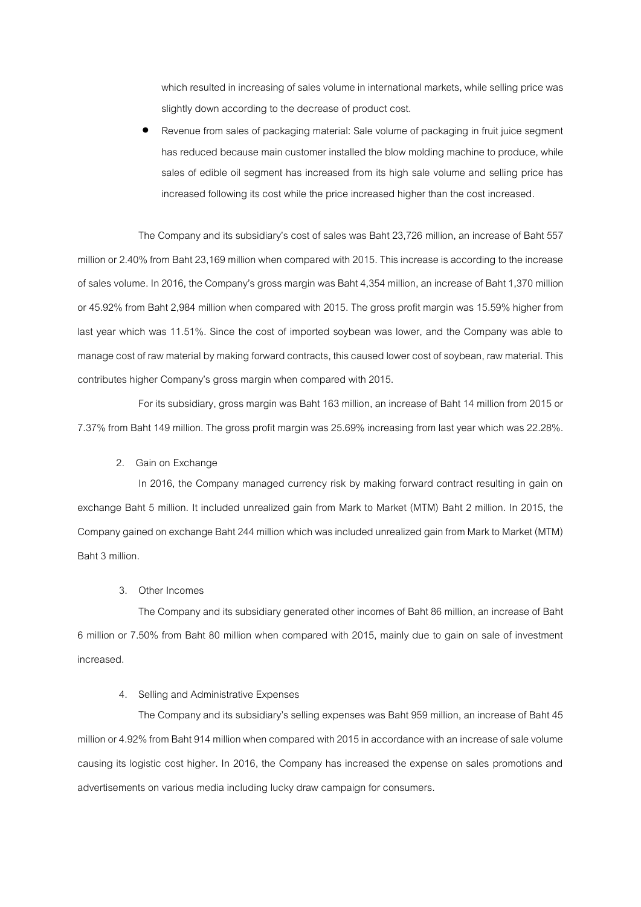which resulted in increasing of sales volume in international markets, while selling price was slightly down according to the decrease of product cost.

 Revenue from sales of packaging material: Sale volume of packaging in fruit juice segment has reduced because main customer installed the blow molding machine to produce, while sales of edible oil segment has increased from its high sale volume and selling price has increased following its cost while the price increased higher than the cost increased.

The Company and its subsidiary's cost of sales was Baht 23,726 million, an increase of Baht 557 million or 2.40% from Baht 23,169 million when compared with 2015. This increase is according to the increase of sales volume. In 2016, the Company's gross margin was Baht 4,354 million, an increase of Baht 1,370 million or 45.92% from Baht 2,984 million when compared with 2015. The gross profit margin was 15.59% higher from last year which was 11.51%. Since the cost of imported soybean was lower, and the Company was able to manage cost of raw material by making forward contracts, this caused lower cost of soybean, raw material. This contributes higher Company's gross margin when compared with 2015.

For its subsidiary, gross margin was Baht 163 million, an increase of Baht 14 million from 2015 or 7.37% from Baht 149 million. The gross profit margin was 25.69% increasing from last year which was 22.28%.

2. Gain on Exchange

In 2016, the Company managed currency risk by making forward contract resulting in gain on exchange Baht 5 million. It included unrealized gain from Mark to Market (MTM) Baht 2 million. In 2015, the Company gained on exchange Baht 244 million which was included unrealized gain from Mark to Market (MTM) Baht 3 million.

3. Other Incomes

The Company and its subsidiary generated other incomes of Baht 86 million, an increase of Baht 6 million or 7.50% from Baht 80 million when compared with 2015, mainly due to gain on sale of investment increased.

## 4. Selling and Administrative Expenses

The Company and its subsidiary's selling expenses was Baht 959 million, an increase of Baht 45 million or 4.92% from Baht 914 million when compared with 2015 in accordance with an increase of sale volume causing its logistic cost higher. In 2016, the Company has increased the expense on sales promotions and advertisements on various media including lucky draw campaign for consumers.